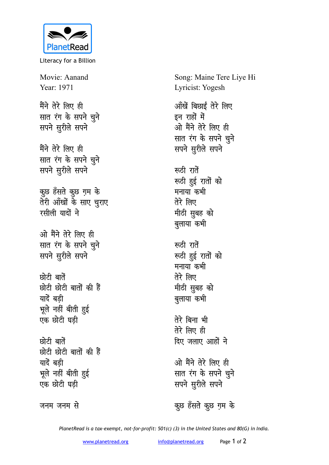

Literacy for a Billion

Movie: Aanand Year: 1971

मैंने तेरे लिए ही **सात रंग के सपने चूने Husting** 

मैंने तेरे लिए ही **सात रंग के सपने चूने Husting** 

कुछ हँसते कुछ ग़म के **तेरी आँखों के साए चुराए रसीली** यादों ने

<u>ओ मैंने तेरे लिए ही</u> **सात रंग के सपने चुने Husting** *R*uss Husting

**Randa** बातें <u>छोटी छोटी बातों की हैं</u> यादें बडी भूले नहीं बीती <u>ह</u>ुई एक छोटी घड<u>ी</u>

**छोटी** बातें <u>छोटी छोटी बातों की हैं</u> यादें बडी भूले नहीं बीती <u>ह</u>ुई एक छोटी घड<u>ी</u>

जनम जनम से

Song: Maine Tere Liye Hi Lyricist: Yogesh <u>ऑंखें बिछाईं तेरे लिए</u> इन राहों में <u>ओ मैंने तेरे लिए ही</u> **सात रंग के सपने चुने सपने सुरीले** सपने रूठी रातें रूठी हुई रातों को मनाया कभी तेरे लिए मीठी सुबह को <u>ब</u>ुलाया कभी **रूठी** रातें **स्त्र्डी हुई रातों को** मनाया कभी <u>तेरे लिए</u> **मीठी सुबह को** <u>ब</u>ुलाया कभी तेरे बिना भी **rsjs fy, gh** <u>दिए जलाए आहों ने</u>

<u>ओ मैंने तेरे लिए ही</u> **सात रंग के सपने चुने Husting** 

कुछ हँसते कुछ ग़म के

*PlanetRead is a tax-exempt, not-for-profit: 501(c) (3) in the United States and 80(G) in India.*